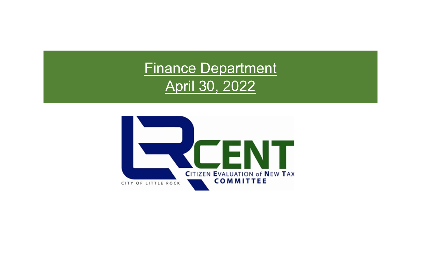# Finance Department April 30, 2022

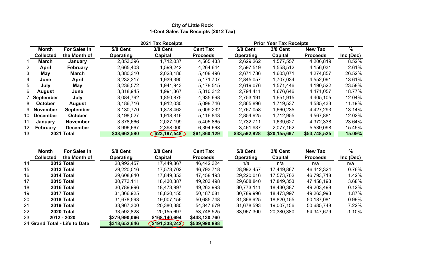# **City of Little Roc k 1-Cent Sales Tax Receipts (2012 Tax)**

|                 |                  |                  |                  | 2021 Tax Receipts |                 |                  | <b>Prior Year Tax Receipts</b> |                 |               |
|-----------------|------------------|------------------|------------------|-------------------|-----------------|------------------|--------------------------------|-----------------|---------------|
|                 | Month            | For Sales in     | 5/8 Cent         | 3/8 Cent          | <b>Cent Tax</b> | <b>5/8 Cent</b>  | <b>3/8 Cent</b>                | <b>New Tax</b>  | $\frac{9}{6}$ |
|                 | <b>Collected</b> | the Month of     | <b>Operating</b> | Capital           | <b>Proceeds</b> | <b>Operating</b> | Capital                        | <b>Proceeds</b> | Inc (Dec)     |
|                 | <b>March</b>     | January          | 2,853,396        | 1,712,037         | 4,565,433       | 2,629,262        | 1,577,557                      | 4,206,819       | 8.52%         |
| $\overline{2}$  | April            | <b>February</b>  | 2,665,403        | .599.242          | 4,264,644       | 2,597,519        | 1,558,512                      | 4,156,031       | 2.61%         |
| 3               | May              | March            | 3,380,310        | 2,028,186         | 5,408,496       | 2,671,786        | 1,603,071                      | 4,274,857       | 26.52%        |
| $\overline{4}$  | June             | April            | 3,232,317        | 1,939,390         | 5,171,707       | 2,845,057        | 1,707,034                      | 4,552,091       | 13.61%        |
| 5               | July             | May              | 3,236,572        | 1,941,943         | 5,178,515       | 2,619,076        | 1,571,446                      | 4,190,522       | 23.58%        |
| 6               | August           | June             | 3,318,945        | 1,991,367         | 5,310,312       | 2,794,411        | 1,676,646                      | 4,471,057       | 18.77%        |
|                 | 7 September      | July             | 3,084,792        | 1,850,875         | 4,935,668       | 2,753,191        | 1,651,915                      | 4,405,105       | 12.04%        |
| 8               | <b>October</b>   | August           | 3,186,716        | 1,912,030         | 5,098,746       | 2,865,896        | 1,719,537                      | 4,585,433       | 11.19%        |
|                 | 9 November       | <b>September</b> | 3,130,770        | 1,878,462         | 5,009,232       | 2,767,058        | 1,660,235                      | 4,427,293       | 13.14%        |
|                 | 10 December      | <b>October</b>   | 3,198,027        | 1,918,816         | 5,116,843       | 2,854,925        | 1,712,955                      | 4,567,881       | 12.02%        |
| 11              | January          | <b>November</b>  | 3,378,666        | 2,027,199         | 5,405,865       | 2,732,711        | 1,639,627                      | 4,372,338       | 23.64%        |
| 12 <sup>2</sup> | February         | <b>December</b>  | 3,996,667        | 2,398,000         | 6,394,668       | 3,461,937        | 2,077,162                      | 5,539,098       | 15.45%        |
| 13              |                  | 2021 Total       | \$38,662,580     | \$23,197,548      | \$61,860,129    | \$33,592,828     | \$20,155,697                   | \$53,748,525    | 15.09%        |

| Month            | For Sales in | 5/8 Cent                                                                                                                                                | <b>3/8 Cent</b> | <b>Cent Tax</b> | 5/8 Cent         | <b>3/8 Cent</b> | <b>New Tax</b>  | $\%$      |
|------------------|--------------|---------------------------------------------------------------------------------------------------------------------------------------------------------|-----------------|-----------------|------------------|-----------------|-----------------|-----------|
| <b>Collected</b> | the Month of | <b>Operating</b>                                                                                                                                        | Capital         | <b>Proceeds</b> | <b>Operating</b> | Capital         | <b>Proceeds</b> | Inc (Dec) |
|                  |              | 28,992,457                                                                                                                                              | 17,449,867      | 46,442,324      | n/a              | n/a             | n/a             | n/a       |
|                  |              | 29,220,016                                                                                                                                              | 17,573,702      | 46,793,718      | 28,992,457       | 17,449,867      | 46,442,324      | 0.76%     |
|                  |              | 29,608,840                                                                                                                                              | 17,849,353      | 47,458,193      | 29,220,016       | 17,573,702      | 46,793,718      | 1.42%     |
|                  |              | 30,773,111                                                                                                                                              | 18,430,387      | 49,203,498      | 29,608,840       | 17,849,353      | 47,458,193      | 3.68%     |
|                  |              | 30,789,996                                                                                                                                              | 18,473,997      | 49,263,993      | 30,773,111       | 18,430,387      | 49,203,498      | 0.12%     |
|                  |              | 31,366,925                                                                                                                                              | 18,820,155      | 50,187,081      | 30,789,996       | 18,473,997      | 49,263,993      | 1.87%     |
|                  |              | 31,678,593                                                                                                                                              | 19,007,156      | 50,685,748      | 31,366,925       | 18,820,155      | 50,187,081      | 0.99%     |
|                  |              | 33,967,300                                                                                                                                              | 20,380,380      | 54,347,679      | 31,678,593       | 19,007,156      | 50,685,748      | 7.22%     |
|                  |              | 33,592,828                                                                                                                                              | 20,155,697      | 53,748,525      | 33,967,300       | 20,380,380      | 54,347,679      | $-1.10\%$ |
|                  |              | \$279,990,066                                                                                                                                           | \$168.140,694   | \$448,130,760   |                  |                 |                 |           |
|                  |              | 2012 Total<br><b>2013 Total</b><br>2014 Total<br>2015 Total<br>2016 Total<br>2017 Total<br>2018 Total<br>2019 Total<br><b>2020 Total</b><br>2012 - 2020 |                 |                 |                  |                 |                 |           |

24 **\$318,652,646 \$191,338,242 \$509,990,888 Grand Total - Life to Dat e**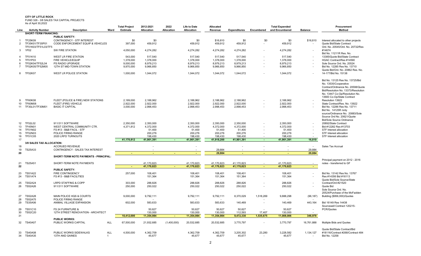FUND 326 - 3/8 SALES TAX CAPITAL PROJECTS As of April 30,2022

|          |                                  | 2022<br>2012-2021<br><b>Total Project</b><br>Life to Date<br><b>Total Expended</b><br>Allocated |              |                        |                          |             |                        | Procurement          |                        |                          |                        |                |                                                           |
|----------|----------------------------------|-------------------------------------------------------------------------------------------------|--------------|------------------------|--------------------------|-------------|------------------------|----------------------|------------------------|--------------------------|------------------------|----------------|-----------------------------------------------------------|
| Line     | <b>Activity Number</b>           | <b>Description</b>                                                                              | Ward         | Estimate               | Allocation               | Allocation  | <b>Allocation</b>      | Revenue              | <b>Expenditures</b>    | Encumbered               | and Encumbered         | <b>Balance</b> | Method                                                    |
|          | <b>SHORT-TERM FINANCING:</b>     |                                                                                                 |              |                        |                          |             |                        |                      |                        |                          |                        |                |                                                           |
|          |                                  | <b>PUBLIC SAFETY:</b>                                                                           |              |                        |                          |             |                        |                      |                        |                          |                        |                |                                                           |
|          | <b>TF25K09</b>                   | <b>CONTINGENCY - STF INTEREST</b>                                                               |              | \$0                    | \$0                      |             | \$0                    | \$16,810             | \$0                    | \$0                      | \$0                    | \$16,810       | Interest allocated to other projects                      |
| 2        | TF35K01/TF35P01                  | CODE ENFORCEMENT EQUIP & VEHICLES                                                               |              | 397,000                | 459,912                  |             | 459,912                | 459,912              | 459,912                | $\overline{\phantom{a}}$ | 459,912                |                | Quote Bid/State Contract                                  |
|          | TF51K03/TF51L03/TF5              |                                                                                                 |              |                        |                          |             |                        |                      |                        |                          |                        |                | Ord. No. 20545/Ord. No. 20732/Res                         |
| 3        | 1P02                             | SW FIRE STATION                                                                                 |              | 4,050,000              | 4,274,282                |             | 4,274,282              | 4,274,282            | 4,274,282              |                          | 4,274,282              |                | #14674                                                    |
| 4        |                                  |                                                                                                 |              |                        |                          |             |                        |                      |                        |                          |                        |                | Bid No. 11211R Res. No.                                   |
|          | TF51K10<br>TF51P03               | <b>WEST LR FIRE STATION</b>                                                                     |              | 543,000                | 517,540                  |             | 517,540                | 517,540<br>1,378,000 | 517,540                |                          | 517,540                |                | 13385/Quote Bid/State Contract                            |
| 5        | TF52K04/TF52L04                  | FIRE VEHICLE/EQUIP<br>PS RADIO UPGRADE                                                          |              | 1,378,000<br>9,000,000 | 1,378,000<br>8,979,213   |             | 1,378,000              | 8,979,213            | 1,378,000              |                          | 1,378,000<br>8,979,213 |                | HGAC Contract/Res #14590                                  |
| 6        | TF52K05/TF52M05                  | 12TH ST MID-TOWN STATION                                                                        |              | 9,970,000              | 9,966,850                |             | 8,979,213<br>9,966,850 | 9,966,850            | 8,979,213<br>9,966,850 |                          | 9,966,850              |                | Sole Source Ord. No. 20524<br>Bid No. 12285 Res No. 13710 |
|          |                                  |                                                                                                 |              |                        |                          |             |                        |                      |                        |                          |                        |                | Quote Bid/Ord. No. 20862 Res. No.                         |
| 8        | <b>TF52K07</b>                   | WEST LR POLICE STATION                                                                          |              | 1,000,000              | 1,044,072                |             | 1,044,072              | 1,044,072            | 1,044,072              |                          | 1,044,072              |                | 14-177/Bid No. 15138                                      |
|          |                                  |                                                                                                 |              |                        |                          |             |                        |                      |                        |                          |                        |                |                                                           |
|          |                                  |                                                                                                 |              |                        |                          |             |                        |                      |                        |                          |                        |                | Bid No. 13125 Res No. 13725/Bid                           |
|          |                                  |                                                                                                 |              |                        |                          |             |                        |                      |                        |                          |                        |                | No. 13535/Cooperative                                     |
|          |                                  |                                                                                                 |              |                        |                          |             |                        |                      |                        |                          |                        |                | Contract/Ordinance No. 20598/Quote                        |
|          |                                  |                                                                                                 |              |                        |                          |             |                        |                      |                        |                          |                        |                | Bid/Resolution No. 13373/Resolution                       |
|          |                                  |                                                                                                 |              |                        |                          |             |                        |                      |                        |                          |                        |                | No. 13447 Co-Op/Resolution No.                            |
|          |                                  |                                                                                                 |              |                        |                          |             |                        |                      |                        |                          |                        |                | 13683 Co-Op/State Contract                                |
| 9        | <b>TF60K08</b>                   | FLEET (POLICE & FIRE) NEW STATIONS                                                              |              | 2,189,000              | 2,188,962                |             | 2,188,962              | 2,188,962            | 2,188,962              |                          | 2,188,962              |                | Resolution 13922                                          |
| 10       | <b>TF60M08</b>                   | FLEET (FIRE) VEHICLE                                                                            |              | 2.922.000              | 2.922.000                |             | 2.922.000              | 2,922,000            | 2.922.000              |                          | 2.922.000              |                | State Contract/Res, No. 13922                             |
| 11       | TF30L01/TF30M01                  | <b>BASIC IT CAPITAL</b>                                                                         |              | 3,000,000              | 2,998,453                |             | 2,998,453              | 2,998,453            | 2,998,453              |                          | 2,998,453              |                | Bid No. 12286 Res No. 13711                               |
|          |                                  |                                                                                                 |              |                        |                          |             |                        |                      |                        |                          |                        |                | Bid No. 14125R /only                                      |
|          |                                  |                                                                                                 |              |                        |                          |             |                        |                      |                        |                          |                        |                | source/Ordinance No. 20883/Sole                           |
|          |                                  |                                                                                                 |              |                        |                          |             |                        |                      |                        |                          |                        |                | Source Ord No. 20621/Quote                                |
|          |                                  |                                                                                                 |              |                        |                          |             |                        |                      |                        |                          |                        |                | <b>Bid/Sole Source Ordinance</b>                          |
| 12       | <b>TF52L02</b>                   | 911/311 SOFTWARE                                                                                |              | 2,350,000              | 2,350,000                |             | 2,350,000              | 2,350,000            | 2,350,000              |                          | 2,350,000              |                | 20892/State Contract                                      |
| 13<br>14 | TF45N01<br><b>TF51N02</b>        | WEST CENTRAL COMMUNITY CTR.<br>FS #13 - B&B FACIL - STF                                         |              | 4,371,812              | 4,372,000<br>51,400      |             | 4,372,000<br>51,400    | 4,372,000<br>51,400  | 4,372,000<br>51,400    |                          | 4,372,000<br>51,400    |                | Bid #12282 Res #13703<br>STF Interest allocation          |
| 15       | <b>TF52N03</b>                   | POLICE FIRING RANGE                                                                             |              |                        | 200,276                  |             | 200,276                | 200,276              | 200,276                |                          | 200,276                |                | STF Interest allocation                                   |
| 16       | <b>TF51C05</b>                   | 2020 LRFD TURNOUTS                                                                              |              |                        | 198,430                  |             | 198,430                | 198,430              | 198,430                |                          | 198,430                |                | STF Interest allocation                                   |
| 17       |                                  |                                                                                                 |              | 41,170,812             | 41,901,391               | $\sim$      | 41,901,391             | 41,918,200           | 41,901,391             | $\blacksquare$           | 41,901,391             | 16,810         |                                                           |
|          | 3/8 SALES TAX ALLOCATION:        |                                                                                                 |              |                        |                          |             |                        |                      |                        |                          |                        |                |                                                           |
| 18       |                                  | <b>ACCRUED REVENUE</b>                                                                          |              |                        | $\overline{\phantom{a}}$ |             | $\sim$                 |                      |                        | ÷.                       | $\sim$                 | $\sim$         | Sales Tax Accrual                                         |
| 19       | <b>TS25A33</b>                   | CONTINGENCY - SALES TAX INTEREST                                                                |              |                        |                          |             |                        | 29,884               |                        |                          |                        | 29,884         |                                                           |
| 20       |                                  |                                                                                                 |              |                        |                          |             |                        | 29,884               |                        |                          |                        | 29,884         |                                                           |
|          |                                  | SHORT-TERM NOTE PAYMENTS - PRINCIPAL:                                                           |              |                        |                          |             |                        |                      |                        |                          |                        |                |                                                           |
|          |                                  |                                                                                                 |              |                        |                          |             |                        |                      |                        |                          |                        |                | Principal payment on 2012 - 2016                          |
| 21       | <b>TS25A51</b>                   | SHORT-TERM NOTE PAYMENTS                                                                        |              |                        | 41,170,823               |             | 41,170,823             | 41,170,823           | 41,170,823             |                          | 41,170,823             |                | notes - transferred to GF                                 |
| 22       |                                  |                                                                                                 |              | $\blacksquare$         | 41,170,823               | $\sim$      | 41,170,823             | 41,170,823           | 41,170,823             | $\sim$                   | 41,170,823             | $\sim$         |                                                           |
|          |                                  | <b>PUBLIC SAFETY:</b>                                                                           |              |                        |                          |             |                        |                      |                        |                          |                        |                |                                                           |
| 23       | <b>TS51A22</b>                   | <b>FIRE CONTINGENCY</b>                                                                         |              | 257,000                | 108,401                  |             | 108,401                | 108,401              | 108,401                | ٠                        | 108,401                |                | Bid No. 13142 Res No. 13767                               |
| 24       | <b>TS51A74</b>                   | FS #13 - B&B FACILITIES                                                                         |              |                        | 151,364                  |             | 151,364                | 151,364              | 151,364                |                          | 151,364                |                | Res #14356 Bid #16113                                     |
|          |                                  |                                                                                                 |              |                        |                          |             |                        |                      |                        |                          |                        |                | Quote Bid/Sole Source/State                               |
| 25       | <b>TS52A24</b>                   | <b>LRPD STAFFING &amp; COPP</b>                                                                 |              | 303,000                | 288,826                  |             | 288,826                | 288,826              | 288,826                |                          | 288,826                |                | Contract/Ord #21520                                       |
| 26       | <b>TS52A26</b>                   | 911/311 SOFTWARE                                                                                |              | 250,000                | 250,022                  |             | 250,022                | 250,022              | 250,022                |                          | 250,022                |                | Quote Bid                                                 |
|          |                                  |                                                                                                 |              |                        |                          |             |                        |                      |                        |                          |                        |                | Sole Source Ord. No.                                      |
|          |                                  |                                                                                                 |              |                        |                          |             |                        |                      |                        |                          |                        |                | 20524/Purchase of the McFadden                            |
| 27       | <b>TS52A28</b>                   | MAIN POLICE HQS & COURTS                                                                        |              | 9,000,000              | 9,792,111                |             | 9,792,111              | 9,792,111            | 8,370,029              | 1,518,269                | 9,888,298              | (96, 187)      | Building (\$956,000)/Quotes                               |
| 28       | <b>TS52A75</b>                   | POLICE FIRING RANGE                                                                             |              |                        |                          |             |                        |                      |                        |                          |                        |                |                                                           |
| 29       | <b>TS35A06</b>                   | ANIMAL VILLAGE EXPANSION                                                                        |              | 602,000                | 583,633                  |             | 583,633                | 583,633              | 140,469                | $\omega$                 | 140,469                | 443,164        | Bid 16149 Res 14438                                       |
|          |                                  |                                                                                                 |              |                        |                          |             |                        |                      |                        |                          |                        |                | Sourcewell Contract 120215-                               |
| 29<br>30 | <b>TS51C10</b><br><b>TS52C20</b> | FS 24 FURNITURE &<br>12TH STREET RENOVATION - ARCHITECT                                         |              |                        | 50,627<br>130,000        |             | 50,627<br>130,000      | 50,627<br>130,000    | 50,627<br>112,593      | 17,407                   | 50,627<br>130,000      |                | PCR/Quotes                                                |
| 31       |                                  |                                                                                                 |              | 10,412,000             | 11,354,984               | п.          | 11,354,984             | 11,354,984           | 9,472,330              | 1,535,675                | 11,008,006             | 346,978        |                                                           |
|          |                                  | <b>PUBLIC WORKS:</b>                                                                            |              |                        |                          |             |                        |                      |                        |                          |                        |                |                                                           |
| 32       | <b>TS40A07</b>                   | PUBLIC WORKS CAPITAL                                                                            | <b>ALL</b>   | 67,500,000             | 21,932,685               | (1,400,000) | 20,532,685             | 20,532,685           | 3,770,797              |                          | 3,770,797              | 16,761,888     | Multiple Bids and Quotes                                  |
|          |                                  |                                                                                                 |              |                        |                          |             |                        |                      |                        |                          |                        |                |                                                           |
|          |                                  |                                                                                                 |              |                        |                          |             |                        |                      |                        |                          |                        |                | Quote Bid/State Contract/Bid                              |
| 33       | <b>TS40A08</b>                   | PUBLIC WORKS SIDEWALKS                                                                          | <b>ALL</b>   | 4,500,000              | 4,362,709                |             | 4,362,709              | 4,362,709            | 3,205,302              | 23,280                   | 3,228,582              | 1,134,127      | #18116/Contract #268/Contract 484                         |
| 34       | <b>TS40A35</b>                   | <b>13TH AND GAINES</b>                                                                          | $\mathbf{1}$ |                        | 45.677                   |             | 45.677                 | 45.677               | 45.677                 |                          | 45.677                 |                | Bid No. 12258                                             |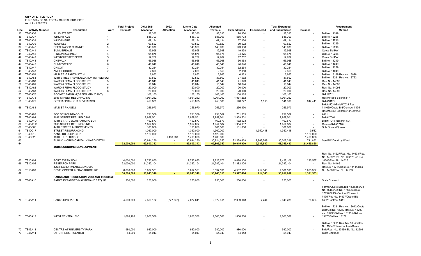73 TS45A14

OTTENHEIMER CENTER

FUND 326 - 3/8 SALES TAX CAPITAL PROJECTS As of April 30,2022

|          | AS OT APTII 30, ZUZZ   |                                        |                | <b>Total Project</b> | 2012-2021                | 2022              | <b>Life to Date</b>      | <b>Allocated</b>         |                          |                        | <b>Total Expended</b>    |                       | Procurement                        |
|----------|------------------------|----------------------------------------|----------------|----------------------|--------------------------|-------------------|--------------------------|--------------------------|--------------------------|------------------------|--------------------------|-----------------------|------------------------------------|
| Line     | <b>Activity Number</b> | <b>Description</b>                     | Ward           | <b>Estimate</b>      | <b>Allocation</b>        | <b>Allocation</b> | <b>Allocation</b>        | Revenue                  | <b>Expenditures</b>      | Encumbered             | and Encumbered           | <b>Balance</b>        | Method                             |
| 35       | <b>TS40A36</b>         | <b>ALLIS STREET</b>                    |                |                      | 98,330                   |                   | 98,330                   | 98,330                   | 98.330                   |                        | 98,330                   |                       | Bid No. 11249                      |
| 36       | <b>TS40A37</b>         | <b>WRIGHT AVE</b>                      | $\overline{1}$ |                      | 585,703                  |                   | 585,703                  | 585,703                  | 585,703                  |                        | 585,703                  |                       | Bid No. 12258                      |
| 37       | <b>TS40A38</b>         | WINDAMERE                              | $\overline{2}$ |                      | 67,134                   |                   | 67,134                   | 67,134                   | 67,134                   |                        | 67,134                   |                       | Bid No. 11299                      |
| 38       | TS40A39                | WALPOLE                                | $\overline{2}$ |                      | 69,522                   |                   | 69,522                   | 69,522                   | 69,522                   |                        | 69,522                   |                       | Bid No. 11299                      |
| 39       | <b>TS40A40</b>         | BEECHWOOD CHANNEL                      | 3              |                      | 143,930                  |                   | 143,930                  | 143,930                  | 143,930                  |                        | 143,930                  |                       | Bid No. 12219                      |
| 40       | TS40A41                | SUMMERDALE                             | $\overline{4}$ |                      | 19,998                   |                   | 19,998                   | 19,998                   | 19,998                   |                        | 19,998                   |                       | Quote Bid PW                       |
| 41       | <b>TS40A42</b>         | <b>HINSON (CARMEL)</b>                 | $\overline{4}$ |                      | 94,875                   |                   | 94,875                   | 94,875                   | 94,875                   |                        | 94,875                   |                       | Bid No. 12288                      |
| 42       | TS40A43                | <b>WESTCHESTER BERM</b>                | -5             |                      | 17,762                   |                   | 17,762                   | 17,762                   | 17,762                   |                        | 17,762                   |                       | Quote Bid PW                       |
| 43       | <b>TS40A44</b>         | <b>CHEVAUX</b>                         | -5             |                      | 56,968                   |                   | 56,968                   | 56,968                   | 56,968                   |                        | 56,968                   |                       | Bid No. 11249                      |
| 44       | <b>TS40A45</b>         | SUNNYMEADE                             | 6              |                      | 46,646                   |                   | 46,646                   | 46,646                   | 46,646                   |                        | 46,646                   |                       | Bid No. 11249                      |
| 45       | <b>TS40A47</b>         | <b>CHICOT</b>                          | $\overline{7}$ |                      | 32,254                   |                   | 32,254                   | 32,254                   | 32,254                   |                        | 32,254                   |                       | Bid No. 12259                      |
| 46       | <b>TS40A48</b>         | <b>ANGEL COURT</b>                     | $\overline{7}$ |                      | 2,050                    |                   | 2,050                    | 2.050                    | 2,050                    |                        | 2,050                    |                       | Bid No. 11249                      |
| 47       | <b>TS40A53</b>         | <b>MAIN ST. GRANT MATCH</b>            |                |                      | 6.863                    |                   | 6.863                    | 6.863                    | 6,863                    |                        | 6.863                    |                       | Bid No. 13169 Res No. 13828        |
| 48       | <b>TS40A54</b>         | 12TH STREET REVITALIZATION (STREETS(2) |                |                      | 37,562                   |                   | 37,562                   | 37,562                   | 37,562                   |                        | 37,562                   |                       | Bid No. 12261 Res No. 13752        |
| 49       | <b>TS40A60</b>         | WARD 3 FEMA FLOOD STUDY                | 3              |                      | 41,643                   |                   | 41,643                   | 41,643                   | 41,643                   |                        | 41,643                   |                       | Res No. 14093                      |
| 50       | <b>TS40A61</b>         | WARD 4 FEMA FLOOD STUDY                | $\overline{4}$ |                      | 16,644                   |                   | 16,644                   | 16,644                   | 16,644                   |                        | 16,644                   |                       | Res No. 14093                      |
| 51       | <b>TS40A62</b>         | WARD 5 FEMA FLOOD STUDY                | -5             |                      | 20,000                   |                   | 20,000                   | 20,000                   | 20,000                   |                        | 20,000                   |                       | Res No. 14093                      |
| 52       | <b>TS40A63</b>         | WARD 6 FEMA FLOOD STUDY                | 6              |                      | 20,000                   |                   | 20,000                   | 20,000                   | 20,000                   |                        | 20,000                   |                       | Res No. 14093                      |
| 53       | <b>TS40A76</b>         | RODNEY PARHAM(GREEN MTN./CANT)         |                |                      | 108,165                  |                   | 108,165                  | 108,165                  | 108,165                  |                        | 108,165                  |                       | <b>Bid 14201</b>                   |
| 54       | <b>TS40A78</b>         | 2016 STREET RESURFACING                |                |                      | 1,961,262                |                   | 1,961,262                | 1,961,262                | 1,961,262                |                        | 1,961,262                |                       | Res #14353 Bid #16117              |
| 55       | <b>TS40A79</b>         | <b>GEYER SPRINGS RR OVERPASS</b>       |                |                      | 453,805                  |                   | 453,805                  | 453,805                  | 140,277                  | 1,116                  | 141,393                  | 312,411               | Bid #18179                         |
|          |                        |                                        |                |                      |                          |                   |                          |                          |                          |                        |                          |                       | Bid #15031/Bid #17021 Res          |
| 56       | <b>TS40A81</b>         | <b>MAIN ST PHASE 2</b>                 |                |                      | 256,970                  |                   | 256,970                  | 256,970                  | 256,970                  | ÷.                     | 256,970                  |                       | #14660/Quote Bid/Contract #475     |
|          |                        |                                        |                |                      |                          |                   |                          |                          |                          |                        |                          |                       | Res #14365 Bid #16014/Contract     |
| 57       | <b>TS40A82</b>         | ZOO DR ROUNDABOUT                      |                |                      | 731,509                  |                   | 731,509                  | 731,509                  | 731,509                  |                        | 731,509                  |                       | #411                               |
| 58       | <b>TS40A91</b>         | 2017 STREET RESURFACING                |                |                      | 2,959,501                |                   | 2,959,501                | 2,959,501                | 2,959,501                |                        | 2,959,501                |                       | Bid #17001                         |
| 59       | TS40A101               | 13TH ST AT CEDAR PARKING LOT           |                |                      | 162,573                  |                   | 162,573                  | 162.573                  | 162,573                  |                        | 162,573                  |                       | Bid #17011 Res #14.594             |
| 60       | TS40A113               | 2018 STREET RESURFACING                |                |                      | 1,954,687                |                   | 1,954,687                | 1,954,687                | 1,954,687                |                        | 1,954,687                |                       | Quotes/Bid #17189                  |
| 60       | <b>TS40C06</b>         | 44TH STREET IMPROVEMENTS               |                |                      | 101,666                  |                   | 101,666                  | 101,666                  | 101,666                  |                        | 101,666                  |                       | Sole Source/Quotes                 |
| 61       | <b>TS40C17</b>         | <b>STREET RESURFACING</b>              |                |                      | 1,360,000                |                   | 1,360,000                | 1,360,000                |                          | 1,350,418              | 1,350,418                | 9.582                 |                                    |
| 61       | TS40C19                | KANIS RD BUSINES P                     |                |                      | 1,120,000                |                   | 1,120,000                | 1,120,000                |                          |                        |                          | 1,120,000             |                                    |
| 62       | <b>TS40C23</b>         | 13TH ST RR BRIDGE                      |                |                      |                          | 1,400,000         | 1,400,000                | 1,400,000                |                          |                        |                          | 1,400,000             |                                    |
| 63<br>64 |                        | PUBLIC WORKS CAPITAL - WARD DETAIL     |                | 72,000,000           | 30,914,250<br>69,803,342 |                   | 30,914,250<br>69,803,342 | 30,914,250<br>69,803,342 | 22,239,629<br>39.015.900 | 7,962,769<br>9,337,582 | 30.202.398<br>48,353,482 | 711,852<br>21,449,860 | See PW Detail by Ward              |
|          |                        | JOBS/ECONOMIC DEVELOPMENT:             |                |                      |                          |                   |                          |                          |                          |                        |                          |                       |                                    |
|          |                        |                                        |                |                      |                          |                   |                          |                          |                          |                        |                          |                       |                                    |
|          |                        |                                        |                |                      |                          |                   |                          |                          |                          |                        |                          |                       | Res. No. 14527/Res. No. 14693/Res. |
|          |                        |                                        |                |                      |                          |                   |                          |                          |                          |                        |                          |                       | No. 14692/Res. No. 14657/Res. No.  |
| 65       | <b>TS10A01</b>         | PORT EXPANSION                         |                | 10,000,000           | 9,723,675                |                   | 9,723,675                | 9,723,675                | 9,428,108                |                        | 9,428,108                | 295,567               | 14685/Res, No. 14526               |
| 66       | <b>TS10A02</b>         | <b>RESEARCH PARK</b>                   |                | 22,000,000           | 21,382,104               |                   | 21,382,104               | 21,382,104               | 21,382,104               | ÷.                     | 21,382,104               |                       | Res. No. 14166                     |
|          |                        | JOB RECRUITMENT/ECONOMIC               |                |                      |                          |                   |                          |                          |                          |                        |                          |                       | Res No. 13714/Res No. 14114/Res    |
| 67       | <b>TS10A03</b>         | DEVELOPMENT INFRASTRUCTURE             |                | 6.000.000            | 5.837.531                |                   | 5,837,531                | 5.837.531                | 4.587.252                | 214.343                | 4.801.595                | 1.035.937             | No. 14069/Res. No. 14183           |
| 68       |                        |                                        |                | 38.000.000           | 36.943.310               | $\sim$            | 36,943,310               | 36.943.310               | 35.397.464               | 214.343                | 35.611.807               | 1,331,503             |                                    |
|          |                        | PARKS AND RECREATION, ZOO AND TOURISM: |                |                      |                          |                   |                          |                          |                          |                        |                          |                       |                                    |
|          | 69 TS45A10             | PARKS EXPANDED MAINTENANCE EQUIP       |                | 250,000              | 250,000                  |                   | 250,000                  | 250,000                  | 250,000                  | ÷.                     | 250,000                  |                       | <b>State Contract</b>              |
|          |                        |                                        |                |                      |                          |                   |                          |                          |                          |                        |                          |                       |                                    |
|          |                        |                                        |                |                      |                          |                   |                          |                          |                          |                        |                          |                       | Formal/Quote Bids/Bid No.15159/Bid |
|          |                        |                                        |                |                      |                          |                   |                          |                          |                          |                        |                          |                       | No. 15155/Bid No. 17138/Bid No.    |
|          |                        |                                        |                |                      |                          |                   |                          |                          |                          |                        |                          |                       | 17139/NJPA Contract/Contract       |
|          |                        |                                        |                |                      |                          |                   |                          |                          |                          |                        |                          |                       | #475/Res No. 14937/Quote Bid       |
|          | 70 TS45A11             | <b>PARKS UPGRADES</b>                  |                | 4,500,000            | 2,350,152                | (277, 542)        | 2,072,611                | 2,072,611                | 2,039,043                | 7,244                  | 2,046,288                | 26,323                | #482/Contract #411                 |
|          |                        |                                        |                |                      |                          |                   |                          |                          |                          |                        |                          |                       | Bid No. 12281 Res No. 13643/Quote  |
|          |                        |                                        |                |                      |                          |                   |                          |                          |                          |                        |                          |                       | Bids/Bid No. 12282 Res No. 13703   |
|          |                        |                                        |                |                      |                          |                   |                          |                          |                          |                        |                          |                       | and 13990/Bid No. 15133R/Bid No.   |
|          | 71 TS45A12             | <b>WEST CENTRAL C.C.</b>               |                | 1,628,188            | 1,808,588                |                   | 1,808,588                | 1,808,588                | 1,808,588                |                        | 1,808,588                |                       | 13175/Bid No. 15178                |
|          |                        |                                        |                |                      |                          |                   |                          |                          |                          |                        |                          |                       |                                    |
|          |                        |                                        |                |                      |                          |                   |                          |                          |                          |                        |                          |                       | Bid No. 10281 Res. No. 13346/Res.  |
|          |                        |                                        |                |                      |                          |                   |                          |                          |                          |                        |                          |                       | No. 13346/State Contract/Quote     |
|          | 72 TS45A13             | <b>CENTRE AT UNIVERSITY PARK</b>       |                | 980,000              | 980.000                  |                   | 980,000                  | 980.000                  | 980.000                  |                        | 980.000                  |                       | Bids/Res, No. 13459 Bid No. 12201  |

R 54,000 54,043 54,043 54,043 54,043 State Contract

Bids/Res. No. 13459 Bid No. 12201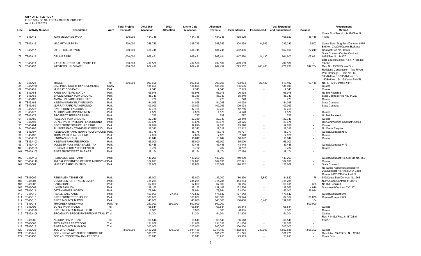FUND 326 - 3/8 SALES TAX CAPITAL PROJECTS

As of April 30,2022

|            |                                  |                                                               |              | <b>Total Project</b> | 2012-2021          | 2022       | <b>Life to Date</b> | Allocated          |                     |                   | <b>Total Expended</b> |                   | Procurement                                                                                                                                   |
|------------|----------------------------------|---------------------------------------------------------------|--------------|----------------------|--------------------|------------|---------------------|--------------------|---------------------|-------------------|-----------------------|-------------------|-----------------------------------------------------------------------------------------------------------------------------------------------|
| Line       | <b>Activity Number</b>           | <b>Description</b>                                            | Ward         | <b>Estimate</b>      | Allocation         | Allocation | <b>Allocation</b>   | Revenue            | <b>Expenditures</b> | Encumbered        | and Encumbered        | <b>Balance</b>    | Method                                                                                                                                        |
|            | 74 TS45A15                       | <b>WAR MEMORIAL PARK</b>                                      |              | 500,000              | 484.745            |            | 484.745             | 484.745            | 468.629             |                   | 468.629               | 16.116            | Quote Bids/Res No. 14398/Res No.<br>14783                                                                                                     |
|            | 75 TS45A16                       | <b>MACARTHUR PARK</b>                                         |              | 500,000              | 348.745            |            | 348,745             | 348,745            | 304,298             | 34,945            | 339,243               | 9,502             | Quote Bids - Dog Park/Contract #475                                                                                                           |
| 76         | <b>TS45A17</b>                   | <b>OTTER CREEK PARK</b>                                       |              | 500,000              | 484,745            |            | 484,745             | 484,745            | 462,496             | $\sim$            | 462,496               | 22.249            | Bid No. C12004/Quote Bid/State<br>Contract/Res No. 14976                                                                                      |
|            |                                  |                                                               |              |                      |                    |            |                     |                    |                     |                   |                       |                   | State Contract/Quotes/Contract                                                                                                                |
|            | 77 TS45A18                       | <b>CRUMP PARK</b>                                             |              | 1,000,000            | 969,491            |            | 969,491             | 969,491            | 847,670             | 14,130            | 861,800               | 107,691           | #475/Res No. 14937<br>Sole Source/Bid No. 13-177 Res No.                                                                                      |
| 78<br>79   | <b>TS45A19</b><br><b>TS45A20</b> | NATURAL STEPS BALL COMPLEX<br><b>WESTERN HILLS PARK</b>       |              | 500,000<br>1,000,000 | 499.539<br>969,492 |            | 499.539<br>969,492  | 499.539<br>969,492 | 499.539<br>275,252  | $\sim$<br>446,486 | 499,539<br>721,738    | $\sim$<br>247,754 | 13-805<br>Res. No. 13590/Quote Bids                                                                                                           |
|            |                                  |                                                               |              |                      |                    |            |                     |                    |                     |                   |                       |                   | <b>Redstone Construction - Two Rivers</b><br>Park Drainage Bid No. 13-<br>108/Bid No. 13-105/Bid No. 13-<br>150/Bid No. 13-115/Quote Bids/Bid |
| 80         | <b>TS45A21</b>                   | <b>TRAILS</b>                                                 | Trail        | 1,500,000            | 903,608            |            | 903,608             | 903,608            | 783.064             | 27,429            | 810,492               | 93,116            | No. 17-104/Contract #411                                                                                                                      |
| 81         | TS45A105                         | BIKE POLO COURT IMPROVEMENTS                                  | MacA         |                      | 135,696            |            | 135,696             | 135,696            | 135,696             |                   | 135,696               |                   | Quotes                                                                                                                                        |
| 82         | <b>TS45A01</b>                   | <b>MURRAY DOG PARK</b>                                        | Park         |                      | 7,343              |            | 7,343               | 7,343              | 7,343               |                   | 7,343                 |                   | Quotes                                                                                                                                        |
| 83         | <b>TS45A64</b>                   | KANIS SKATE PK. MATCH                                         | Park         |                      | 96,978             |            | 96,978              | 96,978             | 96,978              |                   | 96,978                |                   | No Bid Required                                                                                                                               |
| 84<br>85   | <b>TS45A65</b><br><b>TS45A67</b> | <b>BRODIE CREEK PLAYGROUND</b><br>ANIMAL VILLAGE SCULPTURE    | Park<br>Park |                      | 85,349<br>770      |            | 85,349<br>770       | 85,349<br>770      | 85,349<br>770       |                   | 85.349<br>770         |                   | State Contract-Res No. 14.223<br>Quotes                                                                                                       |
| 86         | <b>TS45A68</b>                   | <b>HINDMAN PARK PLAYGROUND</b>                                | Park         |                      | 44,098             |            | 44,098              | 44.098             | 44,098              |                   | 44,098                |                   | <b>State Contract</b>                                                                                                                         |
| 87         | TS45A69                          | MURRAY PARK PLAYGROUND                                        | Park         |                      | 109,093            |            | 109,093             | 109,093            | 109,093             |                   | 109,093               |                   | <b>State Contract</b>                                                                                                                         |
| 88         | <b>TS45A73</b>                   | RIVERFRONT LANDSCAPE                                          | Park         |                      | 12,756             |            | 12,756              | 12,756             | 12,756              |                   | 12,756                |                   |                                                                                                                                               |
| 89         | <b>TS45A77</b>                   | ALLSOP PARK IMPROVEMENTS                                      | Park         |                      | 4,570              |            | 4,570               | 4,570              | 4,570               |                   | 4,570                 |                   | Quotes                                                                                                                                        |
| 90         | <b>TS45A78</b>                   | PROSPECT TERRACE PARK                                         | Park         |                      | 797                |            | 797                 | 797                | 797                 |                   | 797                   | $\sim$            | No Bid Required                                                                                                                               |
| 91         | <b>TS45A80</b>                   | PEABODY PLAYGROUND                                            | Park         |                      | 22,349             |            | 22,349              | 22,349             | 22,349              |                   | 22,349                |                   | Quotes                                                                                                                                        |
| 92         | <b>TS45A93</b>                   | BOYLE PARK PAVILION PLAYGROUND                                | Park         |                      | 23,675             |            | 23,675              | 23,675             | 23,675              |                   | 23,675                |                   | US Communities Contract/Quotes                                                                                                                |
| 93         | <b>TS45A94</b>                   | RIVERFRONT SCULPTURE PARK                                     | Park         |                      | 19,896             |            | 19,896              | 19,896             | 19,896              |                   | 19,896                |                   | Quotes                                                                                                                                        |
| 94         | <b>TS45A96</b>                   | ALLSOPP PARK TENNIS PLAYGROUND                                | Park         |                      | 12,312             |            | 12,312              | 12,312             | 12,312              |                   | 12,312                |                   | No Quote Required                                                                                                                             |
| 95<br>96   | <b>TS45A97</b><br><b>TS45A98</b> | RESERVOIR PARK TENNIS PLAYGROUND Park<br>THOM PARK PLAYGROUND | Park         |                      | 15,778<br>7.028    |            | 15,778<br>7,028     | 15,778<br>7,028    | 15,777<br>7,028     |                   | 15,777<br>7.028       |                   | Quotes/Contract #549<br>Quotes                                                                                                                |
| 97         | TS45A100                         | HINDMAN GOLF-17                                               | Park         |                      | 10,642             |            | 10,642              | 10,642             | 10,642              |                   | 10,642                |                   | Quotes                                                                                                                                        |
| 98         | TS45A103                         | HINDMAN PARK RESTROOM                                         | Park         |                      | 65,000             |            | 65,000              | 65,000             | 65,000              |                   | 65,000                |                   |                                                                                                                                               |
| 99         | TS45A104                         | TODDLER PLAY AREA SALES TAX                                   | Park         |                      | 43,448             |            | 43,448              | 43.448             | 43,448              |                   | 43.448                |                   | Quotes/Contract #475                                                                                                                          |
| 100        | TS45A106                         | <b>DUNBAR RECREATION CENTER</b>                               | Park         |                      | 3,732              |            | 3,732               | 3,732              | 3,732               |                   | 3,732                 |                   | Quotes                                                                                                                                        |
| 101        | TS45A107                         | <b>RIVERFRONT WEST AMP ART</b>                                | Park         |                      | 17.174             |            | 17.174              | 17,174             | 17.174              |                   | 17.174                |                   |                                                                                                                                               |
| 102        | TS45A109                         | REBSAMEN GOLF-2018                                            | Park         |                      | 149.299            |            | 149.299             | 149.299            | 149.299             |                   | 149.299               |                   | Quotes/Contract No. 668-Bid No. 350                                                                                                           |
| 103        | TS45A110                         | JIM DAILEY FITNESS CENTER IMPROVEME Park                      |              |                      | 102,691            |            | 102,691             | 102,691            | 102,691             |                   | 102,691               |                   | Quotes                                                                                                                                        |
| 104        | <b>TS45C01</b>                   | <b>MURRAY PARK LIGHTING</b>                                   | Park         |                      | 128,862            |            | 128,862             | 128,862            | 128,862             |                   | 128,862               |                   | <b>State Contract</b><br>No Quote Required/Contract No.<br>268/Contract No. 475/NJPA Coop<br>Contract #120215/Contract No.                    |
| 105        | <b>TS45C02</b>                   | <b>REBSAMEN TENNIS CE</b>                                     | Park         |                      | 85,000             |            | 85,000              | 85,000             | 80.970              | 3,852             | 84,822                | 178               | 549/Quote Bids/Contract No. 268                                                                                                               |
| 106        | <b>TS45C04</b>                   | <b>COMM CENTER FITNESS EQUIP</b>                              | Park         |                      | 314,284            |            | 314,284             | 314,284            | 314,284             |                   | 314,284               |                   | NJPA Coop Contract #120215                                                                                                                    |
| 107        | <b>TS45C05</b>                   | <b>PARK SIGNS</b>                                             | Park         |                      | 67,000             |            | 67,000              | 67,000             | 66,615              |                   | 66,615                | 385               | No Bid Required                                                                                                                               |
| 108        | <b>TS45C09</b>                   | <b>UNION PAVILION</b>                                         | Park         |                      | 137,182            |            | 137,182             | 137,182            | 132,566             |                   | 132,566               | 4,616             | Sourcewell Contract 030117                                                                                                                    |
| 109        | TS45C11<br>TS45C12               | OTTENHEIMER SIDEWA<br>PICKLE BALL KANIS                       | Park<br>Park |                      | 78,944<br>150,000  | 27,542     | 78,944<br>177,542   | 78.944<br>177,542  | 52.000<br>177,542   |                   | 52.000<br>177,542     | 26,944<br>$\sim$  | Quotes/Contract 549                                                                                                                           |
| 110<br>111 | TS45C15                          | <b>RIVERFRONT TREE HOUSE</b>                                  | Park         |                      | 100,000            |            | 100,000             | 100,000            | 69,324              |                   | 69,324                | 30,676            | Quotes/Contract 549                                                                                                                           |
| 112        | TS45C16                          | <b>RIVER MOUNTAIN TWO</b>                                     | Park         |                      | 140,000            |            | 140,000             | 140,000            | 136,430             | 3,466             | 139,896               | 104               |                                                                                                                                               |
| 113        | <b>TS45C18</b>                   | TRI CREEK GREENWAY                                            | Park/Trail   |                      | 250,000            | 250,000    | 500,000             | 500,000            |                     |                   |                       | 500,000           |                                                                                                                                               |
| 114        | TS45A99                          | <b>BOYLE PARK TRAILS</b>                                      | Trail        |                      | 65,844             |            | 65,844              | 65,844             | 65,844              |                   | 65,844                | $\sim$            | Quotes                                                                                                                                        |
| 115        | TS45A102                         | RIVER MOUNTAIN TRAIL HEAD                                     | Trail        |                      | 6,365              |            | 6,365               | 6,365              | 6,365               |                   | 6,365                 |                   | Quotes                                                                                                                                        |
|            | 116 TS45A108                     | BROADWAY BRIDGE RIVERFRONT TRAIL I Trail                      |              |                      | 51,304             |            | 51,304              | 51,304             | 51,304              |                   | 51,304                |                   | Quotes                                                                                                                                        |
|            |                                  |                                                               |              |                      |                    |            |                     |                    |                     |                   |                       |                   | Res. #14852/Res. #14872/Bid                                                                                                                   |
|            | 117 TS45C03                      | <b>ALLSOPP PARK TRAIL</b>                                     | Trail        |                      | 66,548             |            | 66,548              | 66,548             | 66,548              |                   | 66,548                |                   | #17201                                                                                                                                        |
| 118        | <b>TS45C08</b>                   | <b>TWO RIVERS RESTROOM</b>                                    | Trail        |                      | 131,058            |            | 131,058             | 131,058            | 131,058             |                   | 131,058               |                   |                                                                                                                                               |
| 119        | TS45C13                          | RIVER MOUNTAIN MATCH                                          | Trail        |                      | 200,000            |            | 200,000             | 200,000            | 200,000             |                   | 200,000               |                   |                                                                                                                                               |
| 120        | <b>TS65A32</b>                   | ZOO UPGRADES                                                  |              | 8,000,000            | 3,150,265          | (139,076)  | 3,011,189           | 3,011,189          | 1,262,984           | 239,903           | 1,502,886             | 1,508,302         | Quotes                                                                                                                                        |
| 121        | <b>TS65A49</b>                   | ZOO - GREAT APE SHADE STRUCTURE                               |              |                      | 161,775            |            | 161,775             | 161,775            | 161,775             |                   | 161,775               |                   | Resolution 13.633 Bid No. 12283                                                                                                               |
| 122        | <b>TS65A50</b>                   | ZOO - OUTDOOR WALK-IN FREEZER                                 |              |                      | 23,913             |            | 23,913              | 23,913             | 23,913              |                   | 23,913                |                   | Quote Bids                                                                                                                                    |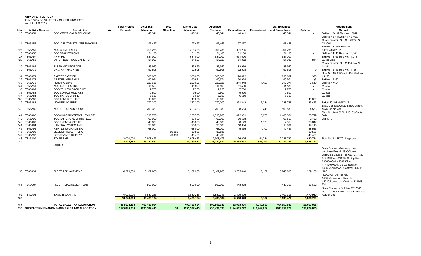FUND 326 - 3/8 SALES TAX CAPITAL PROJECTS

|  | As of April 30,2022 |  |
|--|---------------------|--|

| Line       | $1.00$ or $1.0011$ OV. LOLL<br><b>Activity Number</b> | <b>Description</b>                             | Ward | <b>Total Project</b><br>Estimate | 2012-2021<br><b>Allocation</b>        | 2022<br><b>Allocation</b> | <b>Life to Date</b><br>Allocation | Allocated<br>Revenue    | <b>Expenditures</b> | Encumbered   | <b>Total Expended</b><br>and Encumbered | <b>Balance</b>       | Procurement<br>Method                                               |
|------------|-------------------------------------------------------|------------------------------------------------|------|----------------------------------|---------------------------------------|---------------------------|-----------------------------------|-------------------------|---------------------|--------------|-----------------------------------------|----------------------|---------------------------------------------------------------------|
| 123        | <b>TS65A51</b>                                        | ZOO - TROPICAL BIRDHOUSE                       |      |                                  | 48,341                                |                           | 48,341                            | 48,341                  | 48,341              |              | 48,341                                  |                      | Bid No. 13-139 Res No. 13847                                        |
|            |                                                       |                                                |      |                                  |                                       |                           |                                   |                         |                     |              |                                         |                      | Bid No. 13-144/Bid No. 13-166/<br>Quote Bids/Bid No. 13-179/Bid No. |
|            | 124 TS65A52                                           | ZOO - VISITOR EXP: GREENHOUSE                  |      |                                  | 197,457                               |                           | 197,457                           | 197,457                 | 197,457             |              | 197,457                                 |                      | C12004                                                              |
|            |                                                       |                                                |      |                                  |                                       |                           |                                   |                         |                     |              |                                         |                      | Bid No. 13155R Res No.                                              |
|            | 125 TS65A55                                           | <b>ZOO CHIMP EXHIBIT</b>                       |      |                                  | 301,235                               |                           | 301,235                           | 301,235                 | 301,235             |              | 301,235                                 |                      | 13819/Quote Bid                                                     |
| 126        | <b>TS65A56</b>                                        | <b>ZOO TRAIN TRACKS</b>                        |      |                                  | 151,188                               |                           | 151,188                           | 151,188                 | 151,188             |              | 151,188                                 |                      | Bid No. 14111 Res No. 13,849                                        |
| 127        | <b>TS65A57</b>                                        | <b>AR FARM</b>                                 |      |                                  | 631,000                               |                           | 631,000                           | 631,000                 | 631,000             |              | 631,000                                 |                      | Bid No. 14169 Res No. 14.013                                        |
| 128        | <b>TS65A58</b>                                        | OTTER-BUSH DOG EXHIBITS                        |      |                                  | 51,923                                |                           | 51,923                            | 51,923                  | 51,082              |              | 51,082                                  | 841                  | Quote Bids<br>Quote Bids/Bid No. 15154 Res No.                      |
| 129        | TS65A66                                               | ELEPHANT UPGRADE                               |      |                                  | 83,959                                |                           | 83,959                            | 83,959                  | 83,959              |              | 83,959                                  |                      | 14184                                                               |
| 130        | <b>TS65A70</b>                                        | DR X-RAY MACHINE                               |      |                                  | 92,508                                |                           | 92,508                            | 92,508                  | 92,508              |              | 92,508                                  | $\Omega$             | Bid No. 15149 Res No. 14196                                         |
|            |                                                       |                                                |      |                                  |                                       |                           |                                   |                         |                     |              |                                         |                      | Res. No. 13,633/Quote Bids/Bid No.                                  |
| 131        | TS65A71                                               | <b>SAFETY BARRIER</b>                          |      |                                  | 300,000                               |                           | 300,000                           | 300,000                 | 298,622             |              | 298,622                                 | 1,378                | 15156                                                               |
| 132        | <b>TS65A72</b>                                        | AR FARM GRAPHICS                               |      |                                  | 90,971                                |                           | 90,971                            | 90,971                  | 90,974              | $\sim$       | 90,974                                  | (3)                  | Bid No. 15167                                                       |
| 133<br>134 | <b>TS65A79</b><br><b>TS65A81</b>                      | FENCING-2016<br>ZOO-KUDU EXHIBIT               |      |                                  | 220,626<br>11,500                     |                           | 220,626<br>11,500                 | 220,626<br>11,500       | 211,848<br>11,500   | 1,129        | 212,977<br>11,500                       | 7,649                | Bid No. 17121<br>Quotes                                             |
| 135        | <b>TS65A82</b>                                        | ZOO-YELLOW BACK DIKE                           |      |                                  | 7,750                                 |                           | 7,750                             | 7,750                   | 7,750               |              | 7,750                                   |                      | Quotes                                                              |
| 136        | TS65A83                                               | <b>ZOO-SOMALI WILD ASS</b>                     |      |                                  | 9,500                                 |                           | 9,500                             | 9,500                   | 9,500               |              | 9,500                                   |                      | Quotes                                                              |
| 137        | <b>TS65A84</b>                                        | ZOO-SARUS CRANE                                |      |                                  | 6,650                                 |                           | 6,650                             | 6,650                   | 6,650               |              | 6,650                                   |                      | Quotes                                                              |
| 138        | <b>TS65A85</b>                                        | ZOO-LEMUR EXHIBIT                              |      |                                  | 10,000                                |                           | 10,000                            | 10,000                  |                     |              | $\sim$                                  | 10,000               |                                                                     |
| 139        | <b>TS65A86</b>                                        | <b>LION ENCLOSURE</b>                          |      |                                  | 272,200                               |                           | 272,200                           | 272,200                 | 231,343             | 7,384        | 238,727                                 | 33,473               | Bid #15031/Bid #17117                                               |
|            |                                                       |                                                |      |                                  |                                       |                           |                                   |                         |                     |              |                                         |                      | State Contract/Quote Bids/Contract                                  |
|            | 140 TS65A89                                           | ZOO EDU CLASSROOMS                             |      |                                  | 203,383                               |                           | 203,383                           | 203,383                 | 198,584             | 246          | 198,830                                 | 4,553                | #475/Bid No 734<br>Res. No. 14463/ Bid #18103/Quote                 |
| 141        | TS65A90                                               | ZOO-COLOBUS/SERVAL EXHIBIT                     |      |                                  | 1,533,783                             |                           | 1,533,783                         | 1,533,783               | 1,472,981           | 10,073       | 1,483,054                               | 50,729               | <b>Bids</b>                                                         |
| 142        | <b>TS65A92</b>                                        | ZOO TAP ENGINEERING FEES                       |      |                                  | 63,000                                |                           | 63,000                            | 63,000                  | 60,568              | $\sim$       | 60,568                                  | 2,432                | Bid 17104                                                           |
| 143        | TS65A93                                               | ZOO EVENT & PATH E                             |      |                                  | 40,000                                |                           | 40,000                            | 40,000                  | 8,179               | 1,178        | 9.358                                   | 30,642               |                                                                     |
| 144        | <b>TS65A94</b>                                        | CAMERA SYSTEM AND                              |      |                                  | 25,000                                |                           | 25,000                            | 25,000                  | 10,884              |              | 10,884                                  | 14,116               |                                                                     |
| 145        | <b>TS65A95</b>                                        | REPTILE UPGRADE-BR                             |      |                                  | 68,000                                |                           | 68,000                            | 68,000                  | 15,355              | 4,100        | 19,455                                  | 48,545               |                                                                     |
| 146        | <b>TS65A96</b>                                        | <b>MEMBER TICKET RENO</b>                      |      |                                  | $\sim$                                | 89,586                    | 89,586                            | 89,586                  | $\sim$              |              | $\sim$                                  | 89,586               |                                                                     |
| 147<br>148 | <b>TS65A97</b><br><b>TS45A09</b>                      | <b>GREAT AAPE DISPLAY</b><br><b>STATE FAIR</b> |      | 3,000,000                        | $\overline{\phantom{a}}$<br>2,908,473 | 49.490                    | 49,490                            | 49,490                  | $\sim$<br>2,176,005 | 51,734       |                                         | 49,490               |                                                                     |
| 149        |                                                       |                                                |      | 23,912,188                       | 23,730,412                            |                           | 2,908,473<br>23,730,412           | 2,908,473<br>23,730,412 | 19,258,991          | 853,300      | 2,227,739<br>20,112,291                 | 680,734<br>3,618,121 | Res. No. 13,577/CM Approval                                         |
|            |                                                       | OTHER:                                         |      |                                  |                                       |                           |                                   |                         |                     |              |                                         |                      |                                                                     |
|            |                                                       |                                                |      |                                  |                                       |                           |                                   |                         |                     |              |                                         |                      | State Contract/Golf equipment                                       |
|            |                                                       |                                                |      |                                  |                                       |                           |                                   |                         |                     |              |                                         |                      | purchase-Res. #13938/Quote                                          |
|            |                                                       |                                                |      |                                  |                                       |                           |                                   |                         |                     |              |                                         |                      | Bids/Sole Source/Res #20727/Res.                                    |
|            |                                                       |                                                |      |                                  |                                       |                           |                                   |                         |                     |              |                                         |                      | #14119/Res. #13692-Co-Op/Res.                                       |
|            |                                                       |                                                |      |                                  |                                       |                           |                                   |                         |                     |              |                                         |                      | #20900/Ord. #20893/Res.<br>#14120/HGAC Co-Op Res No                 |
|            |                                                       |                                                |      |                                  |                                       |                           |                                   |                         |                     |              |                                         |                      | 14950/Sourcewell Contract 081716-                                   |
|            | 150 TS60A31                                           | FLEET REPLACEMENT                              |      | 6,328,000                        | 6,102,968                             |                           | 6,102,968                         | 6,102,968               | 5,735,648           | 8,152        | 5,743,800                               | 359,168              | <b>NAF</b>                                                          |
|            |                                                       |                                                |      |                                  |                                       |                           |                                   |                         |                     |              |                                         |                      | HGAC Co-Op Res No.                                                  |
|            |                                                       |                                                |      |                                  |                                       |                           |                                   |                         |                     |              |                                         |                      | 14950/Sourcewell Res No.                                            |
|            |                                                       |                                                |      |                                  |                                       |                           |                                   |                         |                     |              |                                         |                      | 15010/Sourcewell Contract 121918-                                   |
|            | 151 TS60C07                                           | FLEET REPLACEMENT 2019                         |      |                                  | 500,000                               |                           | 500,000                           | 500,000                 | 443,368             |              | 443,368                                 | 56,632               | TKI                                                                 |
|            |                                                       |                                                |      |                                  |                                       |                           |                                   |                         |                     |              |                                         |                      | State Contract / Ord. No. 20621/Ord                                 |
| 152        | <b>TS30A04</b>                                        | <b>BASIC IT CAPITAL</b>                        |      | 4,020,000                        | 3,880,215                             |                           | 3,880,215                         | 3,880,215               | 2,409,306           |              | 2,409,306                               | 1,470,910            | No. 21074/Ord. No. 17104/Franchise<br>Agreement                     |
| 153        |                                                       |                                                |      | 10,348,000                       | 10,483,184                            |                           | 10,483,184                        | 10,483,184              | 8,588,323           | 8,152        | 8,596,474                               | 1,886,709            |                                                                     |
|            |                                                       |                                                |      |                                  |                                       |                           |                                   |                         |                     |              |                                         |                      |                                                                     |
| 154        |                                                       | TOTAL SALES TAX ALLOCATION                     |      | 154,672,188                      | 193,486,054                           |                           | 193,486,054                       | 193,515,938             | 152,903,831         | 11,949,052   | 164,852,883                             | 28,663,055           |                                                                     |
| 155        |                                                       | SHORT-TERM FINANCING AND SALES TAX ALLOCATION  |      | \$195,843,000                    | \$235,387,445                         | \$0                       | \$235,387,445                     | 235,434,138             | \$194,805,222       | \$11,949,052 | \$206,754,274                           | \$28,679,865         |                                                                     |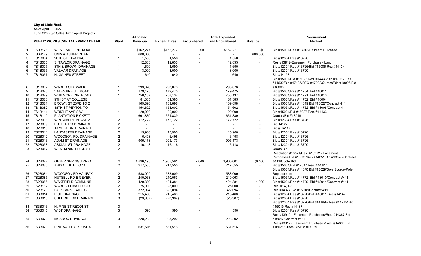#### **City of Little Rock**

As of April 30,2022

Fund 326 - 3/8 Sales Tax Capital Projects

|                |                |                                           |                | Allocated      |                          |                   | <b>Total Expended</b>    |                          | <b>Procurement</b>                                                                                      |  |  |
|----------------|----------------|-------------------------------------------|----------------|----------------|--------------------------|-------------------|--------------------------|--------------------------|---------------------------------------------------------------------------------------------------------|--|--|
|                |                | <b>PUBLIC WORKS CAPITAL - WARD DETAIL</b> | Ward           | Revenue        | <b>Expenditures</b>      | <b>Encumbered</b> | and Encumbered           | <b>Balance</b>           | <b>Method</b>                                                                                           |  |  |
| -1             | <b>TS0B128</b> | <b>WEST BASELINE ROAD</b>                 |                | \$162,277      | \$162,277                | \$0               | \$162,277                | \$0                      | Bid #15031/Res #13912-Easment Purchase                                                                  |  |  |
| $\overline{2}$ | <b>TS0B129</b> | UNIV & ASHER INTER                        |                | 600,000        |                          |                   | $\overline{\phantom{0}}$ | 600,000                  |                                                                                                         |  |  |
| 3              | <b>TS1B004</b> | 26TH ST. DRAINAGE                         |                | 1,550          | 1,550                    |                   | 1,550                    | $\mathbf{r}$             | Bid #12304 Res #13726                                                                                   |  |  |
| 4              | <b>TS1B005</b> | S. TAYLOR DRAINAGE                        |                | 12,833         | 12,833                   |                   | 12,833                   | $\overline{\phantom{a}}$ | Res #13912-Easement Purchase - Land                                                                     |  |  |
| 5              | <b>TS1B007</b> | 8TH & BROWN DRAINAGE                      |                | 1,690          | 1,690                    |                   | 1,690                    |                          | Bid #12304 Res #13726/Bid #15006 Res #14134                                                             |  |  |
| 6              | <b>TS1B035</b> | <b>VALMAR DRAINAGE</b>                    |                | 3,000          | 3,000                    |                   | 3,000                    | $\overline{\phantom{a}}$ | Bid #12304 Res #13790                                                                                   |  |  |
| $\overline{7}$ | <b>TS1B057</b> | N. GAINES STREET                          |                | 640            | 640                      |                   | 640                      |                          | Bid #14198                                                                                              |  |  |
|                |                |                                           |                |                |                          |                   |                          |                          | Bid #15031/Bid #16027 Res. #14433/Bid #17012 Res.<br>#14630/Bid #17105/RFQ #17002/Quotes/Bid #18026/Bid |  |  |
| 8              | TS1B062        | WARD 1 SIDEWALK                           |                | 293.076        | 293,076                  |                   | 293,076                  |                          | #18006                                                                                                  |  |  |
| 9              | TS1B078        | VALENTINE ST. ROAD                        |                | 179,475        | 179,475                  |                   | 179,475                  | $\blacksquare$           | Bid #15031/Res #14784 Bid #18011                                                                        |  |  |
| 10             | <b>TS1B079</b> | <b>WHITMORE CIR. ROAD</b>                 |                | 758,137        | 758,137                  |                   | 758,137                  |                          | Bid #15031/Res #14791 Bid #18013                                                                        |  |  |
| 11             | <b>TS1B080</b> | 9TH ST AT COLLEGE                         |                | 81,385         | 81,385                   |                   | 81,385                   |                          | Bid #15031/Res #14752 Bid #18004                                                                        |  |  |
| 12             | TS1B081        | BROWN ST 23RD TO 2                        |                | 169,898        | 169,898                  |                   | 169,898                  | $\overline{\phantom{a}}$ | Bid #15031/Res #14849 Bid #18027/Contract 411                                                           |  |  |
| 13             | <b>TS1B082</b> | 18TH ST-PEYTON TO                         |                | 154,602        | 154,602                  |                   | 154,602                  | $\blacksquare$           | Bid #15031/Res #14762 Bid #18008/Contract 411                                                           |  |  |
| 14             | <b>TS1B111</b> | WRIGHT AVE S.W.                           |                | 20,000         | 20,000                   |                   | 20,000                   | $\sim$                   | Bid #15031/Bid #16027 Res. #14433                                                                       |  |  |
| 15             | TS1B119        | PLANTATION PICKETT                        |                | 661,839        | 661,839                  |                   | 661,839                  | $\overline{\phantom{0}}$ | Quotes/Bid #18018                                                                                       |  |  |
| 16             | <b>TS2B008</b> | <b>WINDAMERE PHASE 2</b>                  | 2              | 172,722        | 172,722                  |                   | 172,722                  | $\overline{\phantom{a}}$ | Bid #12304 Res #13726                                                                                   |  |  |
| 17             | <b>TS2B009</b> | <b>BUTLER RD DRAINAGE</b>                 | $\overline{2}$ | $\mathbf{r}$   | $\blacksquare$           |                   | $\overline{\phantom{a}}$ | $\overline{\phantom{0}}$ | <b>Bid 14127</b>                                                                                        |  |  |
| 18             | <b>TS2B010</b> | TAMELA DR. DRAINAGE                       | $\overline{2}$ | $\mathbf{r}$   | $\overline{\phantom{a}}$ |                   | $\overline{\phantom{0}}$ |                          | Bid # 14117                                                                                             |  |  |
| 19             | TS2B011        | <b>LANCASTER DRAINAGE</b>                 | 2              | 15,900         | 15,900                   |                   | 15,900                   | $\blacksquare$           | Bid #12304 Res #13726                                                                                   |  |  |
| 20             | TS2B012        | <b>WOODSON RD. DRAINAGE</b>               | $\overline{2}$ | 6,498          | 6,498                    |                   | 6,498                    |                          | Bid #12304 Res #13726                                                                                   |  |  |
| 21             | TS2B013        | <b>ADAM ST DRAINAGE</b>                   | 2              | 905,173        | 905,173                  |                   | 905,173                  | $\blacksquare$           | Bid #12304 Res #13726                                                                                   |  |  |
| 22             | <b>TS2B038</b> | ABIGAIL ST DRAINAGE                       | $\overline{2}$ | 16,118         | 16,118                   |                   | 16,118                   |                          | Bid #12304 Res #13790                                                                                   |  |  |
| 23             | <b>TS2B067</b> | <b>WESTMINISTER DR ST</b>                 | $\overline{2}$ |                |                          |                   | $\overline{\phantom{a}}$ |                          | Quote Bid                                                                                               |  |  |
|                |                |                                           |                |                |                          |                   |                          |                          | Resolution #13521/Res. #13912 - Easement                                                                |  |  |
|                |                |                                           |                |                |                          |                   |                          |                          | Purchases/Bid #15031/Res #14851 Bid #18028/Contract                                                     |  |  |
| 24             | <b>TS2B072</b> | <b>GEYER SPRINGS RR O</b>                 | $\overline{2}$ | 1.896.195      | 1.903.561                | 2,040             | 1.905.601                | (9,406)                  | #411/Quote Bid                                                                                          |  |  |
| 25             | TS2B083        | ABIGAIL, 8TH TO 11                        | $\overline{2}$ | 217,555        | 217,555                  | $\overline{a}$    | 217,555                  |                          | Bid #15031/Bid #17017 Res. #14.614                                                                      |  |  |
|                |                |                                           |                |                |                          |                   |                          |                          | Bid #15031/Res #14870 Bid #18029/Sole Source-Pole                                                       |  |  |
| 26             | <b>TS2B084</b> | <b>WOODSON RD HALIFAX</b>                 | 2              | 588,009        | 588,009                  |                   | 588,009                  | $\blacksquare$           | Replacement                                                                                             |  |  |
| 27             | <b>TS2B085</b> | <b>HUTSELL RD E GEYER</b>                 | $\overline{2}$ | 240,063        | 240,063                  |                   | 240,063                  | $\overline{a}$           | Bid #15031/Res #14772 Bid #18010/Contract #411                                                          |  |  |
| 28             | <b>TS2B086</b> | WAKEFIELD COMM. NB                        | 2              | 429,380        | 424,381                  |                   | 424,381                  | 4,999                    | Bid #15031/Res #14790 Bid #18014/Contract #411                                                          |  |  |
| 29             | TS2B112        | WARD 2 FEMA FLOOD                         | 2              | 25,000         | 25,000                   |                   | 25,000                   | $\sim$                   | Res. #14,093                                                                                            |  |  |
| 30             | TS2B120        | <b>FAIR PARK TRAFFIC</b>                  | $\overline{2}$ | 322,094        | 322,094                  |                   | 322,094                  | $\blacksquare$           | Res #14377 Bid #16018/Contract 411                                                                      |  |  |
| 31             | TS3B014        | P ST. DRAINAGE                            | 3              | 215,460        | 215,460                  |                   | 215,460                  | $\overline{\phantom{a}}$ | Bid #12304 Res #13726/Bid #15011 Res #14147                                                             |  |  |
| 32             | TS3B015        | SHERRILL RD DRAINAGE                      | 3              | (23, 987)      | (23, 987)                |                   | (23, 987)                | $\overline{\phantom{a}}$ | Bid #12304 Res #13726                                                                                   |  |  |
|                |                |                                           |                |                |                          |                   |                          |                          | Bid #12304 Res #13726/Bid #14199R Res #14215/ Bid                                                       |  |  |
| 33             | <b>TS3B016</b> | N. PINE ST RECONST                        | 3              | $\blacksquare$ | $\sim$                   |                   | $\overline{\phantom{a}}$ |                          | #15019 Res #14187                                                                                       |  |  |
| 34             | <b>TS3B045</b> | W ST DRAINAGE                             | 3              | 590            | 590                      |                   | 590                      | $\blacksquare$           | Bid #12304 Res #13790                                                                                   |  |  |
|                |                |                                           |                |                |                          |                   |                          |                          | Res #13912 - Easement Purchases/Res. #14367 Bid                                                         |  |  |
| 35             | <b>TS3B070</b> | <b>MCADOO DRAINAGE</b>                    | 3              | 228,292        | 228,292                  |                   | 228,292                  | $\overline{\phantom{0}}$ | #16017/Contract #411                                                                                    |  |  |
|                |                |                                           |                |                |                          |                   |                          |                          | Res #13912 - Easement Purchases/Res. #14396 Bid                                                         |  |  |
| 36             | TS3B073        | PINE VALLEY ROUNDA                        | 3              | 631.516        | 631.516                  |                   | 631.516                  |                          | #16021/Quote Bid/Bid #17025                                                                             |  |  |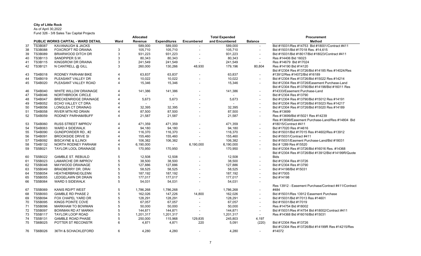## **City of Little Rock**

As of April 30,2022

Fund 326 - 3/8 Sales Tax Capital Projects

|    |                |                                           |                       | <b>Allocated</b> |                     |                          | <b>Total Expended</b> |                          | <b>Procurement</b>                                   |  |
|----|----------------|-------------------------------------------|-----------------------|------------------|---------------------|--------------------------|-----------------------|--------------------------|------------------------------------------------------|--|
|    |                | <b>PUBLIC WORKS CAPITAL - WARD DETAIL</b> | Ward                  | Revenue          | <b>Expenditures</b> | <b>Encumbered</b>        | and Encumbered        | <b>Balance</b>           | <b>Method</b>                                        |  |
| 37 | <b>TS3B087</b> | <b>KAVANAUGH &amp; JACKS</b>              |                       | 589,000          | 589,000             |                          | 589,000               | $\blacksquare$           | Bid #15031/Res #14753 Bid #18001/Contract #411       |  |
| 38 | <b>TS3B088</b> | FOXCROFT RD DRAINA                        | 3                     | 105,710          | 105,710             |                          | 105,710               | $\overline{\phantom{a}}$ | Bid #15031/Bid #17018 Res. #14,615                   |  |
| 39 | <b>TS3B089</b> | <b>BRIARWOOD DITCH DR</b>                 | $\mathbf{3}$          | 931,223          | 931,223             |                          | 931,223               | $\blacksquare$           | Bid #15031/Bid #18017/Bid #18023/Contract #411       |  |
| 40 | TS3B113        | SANDPIPER S.W.                            | 3                     | 80,343           | 80,343              | $\overline{\phantom{a}}$ | 80,343                | $\overline{\phantom{a}}$ | Res #14406 Bid 16023                                 |  |
| 41 | TS3B115        | KINGSROW DR DRAINA                        | 3                     | 241,549          | 241,549             |                          | 241,549               | $\overline{a}$           | Res #14679 Bid #17024                                |  |
| 42 | TS3B121        | N CANTRELL @ GILL                         | 3                     | 260,000          | 130,266             | 48,930                   | 179,196               | 80,804                   | Res #14190 Bid #14120                                |  |
|    |                |                                           |                       |                  |                     |                          |                       |                          | Bid #12304 Res #13726/Bid #14185 Res #14024/Res      |  |
| 43 | <b>TS4B018</b> | RODNEY PARHAM BIKE                        | $\boldsymbol{\Delta}$ | 63,837           | 63,837              | $\overline{a}$           | 63.837                | $\blacksquare$           | #13912/Res #14072/Bid #16189                         |  |
| 44 | TS4B019        | PLEASANT VALLEY DR                        | $\boldsymbol{\Delta}$ | 10,022           | 10,022              |                          | 10,022                | $\overline{a}$           | Bid #12304 Res #13726/Bid #15022 Res #14214          |  |
| 45 | TS4B020        | PLEASANT VALLEY ROAD                      | $\overline{4}$        | 15,346           | 15,346              |                          | 15,346                | $\overline{\phantom{a}}$ | Bid #12304 Res #13726/Easement Purchase-Land         |  |
|    |                |                                           |                       |                  |                     |                          |                       |                          | Bid #12304 Res #13790/Bid #14198/Bid #16011 Res      |  |
| 46 | TS4B040        | <b>WHITE WILLOW DRAINAGE</b>              |                       | 141,386          | 141,386             |                          | 141,386               |                          | #14333/Easement Purchase-Land                        |  |
| 47 | TS4B046        | NORTHBROOK CIRCLE                         | $\Delta$              | $\blacksquare$   | $\blacksquare$      |                          |                       | $\overline{a}$           | Bid #12304 Res #13790                                |  |
| 48 | <b>TS4B047</b> | <b>BRECKENRIDGE DRAINAGE</b>              |                       | 5,673            | 5,673               |                          | 5,673                 |                          | Bid #12304 Res #13790/Bid #15012 Res #14191          |  |
| 49 | TS4B052        | ECHO VALLEY CT DRA                        |                       |                  |                     |                          |                       |                          | Bid #12304 Res #13726/Bid #15023 Res #14217          |  |
| 50 | TS4B056        | LONGLEA CT DRAINAG                        |                       | 32,395           | 32,395              |                          | 32,395                |                          | Bid #12304 Res #13726/Bid #15020 Res #14189          |  |
| 51 | TS4B058        | <b>RIVER MTN RD DRAIN</b>                 |                       | 87,500           | 87,500              |                          | 87,500                | $\blacksquare$           | Res #13699                                           |  |
| 52 | TS4B059        | RODNEY PARHAM/BUFF                        | $\Delta$              | 21,587           | 21,587              |                          | 21,587                |                          | Res #13699/Bid #15021 Res #14239                     |  |
|    |                |                                           |                       |                  |                     |                          |                       | $\blacksquare$           | Res #13699/Easement Purchase-Land/Res #14804 Bid     |  |
|    | <b>TS4B060</b> | <b>RUSS STREET IMPROV</b>                 |                       |                  |                     |                          |                       |                          | #18015/Contract #411                                 |  |
| 53 |                |                                           |                       | 471,359          | 471,359             |                          | 471,359               | $\blacksquare$           |                                                      |  |
| 54 | TS4B063        | WARD 4 SIDEWALK                           |                       | 94,180           | 94,180              |                          | 94,180                |                          | Bid #17020 Res #14616                                |  |
| 55 | <b>TS4B090</b> | GUNDPOWDER RD., #2                        |                       | 116,370          | 116,370             |                          | 116.370               | $\blacksquare$           | Bid #15031/Bid #17015 Res #14602/Res #13912          |  |
| 56 | <b>TS4B091</b> | <b>BROOKSIDE DRIVE SI</b>                 |                       | 155,460          | 155,460             |                          | 155,460               |                          | Bid #15031/Contract #411                             |  |
| 57 | <b>TS4B092</b> | <b>BISCAYNE &amp; ILLINOI</b>             |                       | 106,382          | 106,382             |                          | 106,382               |                          | Bid #15031/Easment Purchase-Land/Bid #18031          |  |
| 58 | TS4B132        | NORTH RODNEY PARHAM                       | $\boldsymbol{\Delta}$ | 6,190,000        | $\sim$              | 6,190,000                | 6,190,000             | $\overline{\phantom{a}}$ | Bid # 1289 Res #15520                                |  |
| 59 | TS5B021        | TAYLOR LOOL DRAINAGE                      | 5                     | 170,950          | 170,950             |                          | 170,950               | $\overline{\phantom{a}}$ | Bid #12304 Res #13726/Bid #16016 Res. #14368         |  |
|    |                |                                           |                       |                  |                     |                          |                       |                          | Bid #12304 Res #13726/Bid #13912/Bid #14199R/Quote   |  |
| 60 | TS5B022        | <b>GAMBLE ST. REBUILD</b>                 | 5                     | 12,508           | 12,508              |                          | 12,508                | $\overline{a}$           | <b>Bids</b>                                          |  |
| 61 | TS5B023        | LAMARCHE DR IMPROV                        | 5                     | 38,500           | 38,500              |                          | 38,500                | $\blacksquare$           | Bid #12304 Res #13726                                |  |
| 62 | <b>TS5B048</b> | MAYWOOD DRAINAGE                          | 5                     | 127,886          | 127,886             |                          | 127,886               | $\blacksquare$           | Bid #12304 Res #13790                                |  |
| 63 | <b>TS5B049</b> | <b>BRADBERRY DR. DRAI</b>                 | 5                     | 58,525           | 58,525              |                          | 58,525                |                          | Bid #14198/Bid #15031                                |  |
| 64 | <b>TS5B054</b> | HEATHERBRAE/GLENN                         | 5                     | 187,192          | 187,192             |                          | 187,192               | $\blacksquare$           | Bid #17005                                           |  |
| 65 | <b>TS5B055</b> | LEDGELAWN DR DRAIN                        | 5                     | 177,017          | 177,017             |                          | 177,017               | $\overline{a}$           | Bid #14198                                           |  |
| 66 | <b>TS5B064</b> | <b>WARD 5 SIDEWALK</b>                    | 5                     | 54,031           | 54,031              |                          | 54,031                |                          |                                                      |  |
|    |                |                                           |                       |                  |                     |                          |                       |                          | Res 13912 - Easement Purchase/Contract #411/Contract |  |
| 67 | TS5B069        | KANIS RD/PT WEST                          | 5                     | 1,786,268        | 1,786,268           | $\sim$                   | 1,786,268             | $\overline{a}$           | #484                                                 |  |
| 68 | TS5B093        | <b>GAMBLE RD PHASE 2</b>                  | 5                     | 162,026          | 147,226             | 14,800                   | 162,026               |                          | Bid #15031/Res 13912 Easement Purchase               |  |
| 69 | <b>TS5B094</b> | FOX CHAPEL YARD DR                        | 5                     | 128,291          | 128,291             | $\overline{a}$           | 128,291               |                          | Bid #15031/Bid #17013 Res #14601                     |  |
| 70 | <b>TS5B095</b> | KINGS POINTE COVE                         | 5                     | 67,057           | 67,057              |                          | 67,057                | $\blacksquare$           | Bid #15031/Bid #17019                                |  |
| 71 | <b>TS5B096</b> | <b>MARKHAM TO BOWMAN</b>                  | 5                     | 50,000           | 50,000              |                          | 50,000                | $\blacksquare$           | Res #14754 Bid #18002                                |  |
| 72 | <b>TS5B097</b> | BOWMAN RD AT MARKH                        | 5                     | 144,871          | 144,871             | $\overline{a}$           | 144,871               | $\blacksquare$           | Bid #15031/Res #14754 Bid #18002/Contract #411       |  |
| 73 | <b>TS5B117</b> | <b>TAYLOR LOOP ROAD</b>                   | 5                     | 1,201,317        | 1,201,317           | $\sim$                   | 1,201,317             | $\overline{a}$           | Res #14368 Bid #16016/Bid #15031                     |  |
| 74 | TS5B131        | <b>GAMBLE ROAD PHASE</b>                  | 5                     | 250,000          | 115,968             | 129,835                  | 245,803               | 4,197                    |                                                      |  |
| 75 | <b>TS6B025</b> | POTTER ST RECONSTR                        | 6                     | 4,871            | 4,871               | 220                      | 5,091                 | (220)                    | Bid #12304 Res #13726                                |  |
|    |                |                                           |                       |                  |                     |                          |                       |                          | Bid #12304 Res #13726/Bid #14199R Res #14215/Res     |  |
|    | 76 TS6B026     | <b>36TH &amp; SCHACKLEFORD</b>            | 6                     | 4.280            | 4.280               |                          | 4.280                 | $\blacksquare$           | #14072                                               |  |